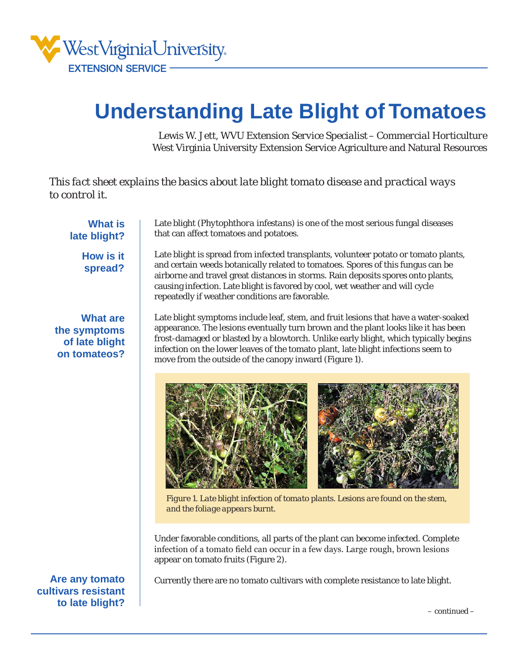

## **Understanding Late Blight of Tomatoes**

Lewis W. Jett, *WVU Extension Service Specialist – Commercial Horticulture* West Virginia University Extension Service Agriculture and Natural Resources

*This fact sheet explains the basics about late blight tomato disease and practical ways to control it.* 

**What is late blight?**

> **How is it spread?**

**What are the symptoms of late blight on tomateos?** Late blight (*Phytophthora infestans*) is one of the most serious fungal diseases that can affect tomatoes and potatoes.

Late blight is spread from infected transplants, volunteer potato or tomato plants, and certain weeds botanically related to tomatoes. Spores of this fungus can be airborne and travel great distances in storms. Rain deposits spores onto plants, causing infection. Late blight is favored by cool, wet weather and will cycle repeatedly if weather conditions are favorable.

Late blight symptoms include leaf, stem, and fruit lesions that have a water-soaked appearance. The lesions eventually turn brown and the plant looks like it has been frost-damaged or blasted by a blowtorch. Unlike early blight, which typically begins infection on the lower leaves of the tomato plant, late blight infections seem to move from the outside of the canopy inward (Figure 1).



*Figure 1. Late blight infection of tomato plants. Lesions are found on the stem, and the foliage appears burnt.*

Under favorable conditions, all parts of the plant can become infected. Complete infection of a tomato field can occur in a few days. Large rough, brown lesions appear on tomato fruits (Figure 2).

Currently there are no tomato cultivars with complete resistance to late blight.

*This fact sheet is provided by WVU Extension Service Agriculture and Natural Resources* 1

**Are any tomato cultivars resistant to late blight?**

*– continued –*